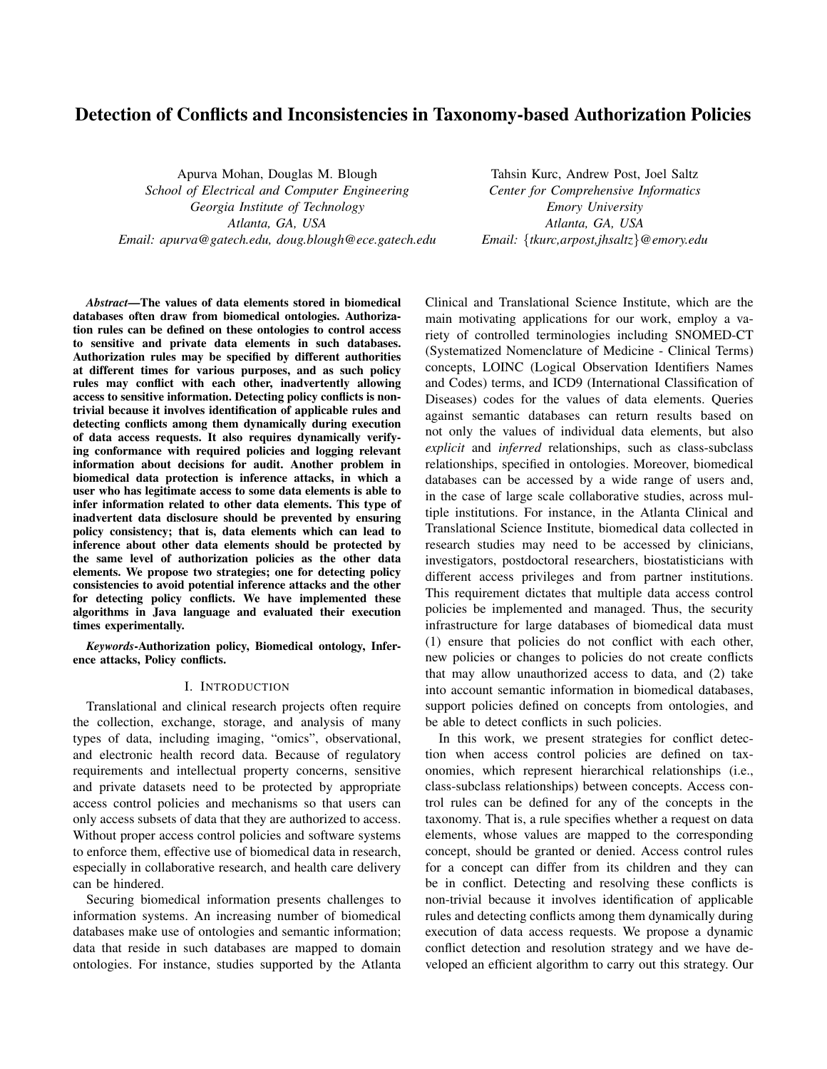# Detection of Conflicts and Inconsistencies in Taxonomy-based Authorization Policies

Apurva Mohan, Douglas M. Blough *School of Electrical and Computer Engineering Georgia Institute of Technology Atlanta, GA, USA Email: apurva@gatech.edu, doug.blough@ece.gatech.edu*

Tahsin Kurc, Andrew Post, Joel Saltz *Center for Comprehensive Informatics Emory University Atlanta, GA, USA Email:* {*tkurc,arpost,jhsaltz*}*@emory.edu*

*Abstract*—The values of data elements stored in biomedical databases often draw from biomedical ontologies. Authorization rules can be defined on these ontologies to control access to sensitive and private data elements in such databases. Authorization rules may be specified by different authorities at different times for various purposes, and as such policy rules may conflict with each other, inadvertently allowing access to sensitive information. Detecting policy conflicts is nontrivial because it involves identification of applicable rules and detecting conflicts among them dynamically during execution of data access requests. It also requires dynamically verifying conformance with required policies and logging relevant information about decisions for audit. Another problem in biomedical data protection is inference attacks, in which a user who has legitimate access to some data elements is able to infer information related to other data elements. This type of inadvertent data disclosure should be prevented by ensuring policy consistency; that is, data elements which can lead to inference about other data elements should be protected by the same level of authorization policies as the other data elements. We propose two strategies; one for detecting policy consistencies to avoid potential inference attacks and the other for detecting policy conflicts. We have implemented these algorithms in Java language and evaluated their execution times experimentally.

*Keywords*-Authorization policy, Biomedical ontology, Inference attacks, Policy conflicts.

# I. INTRODUCTION

Translational and clinical research projects often require the collection, exchange, storage, and analysis of many types of data, including imaging, "omics", observational, and electronic health record data. Because of regulatory requirements and intellectual property concerns, sensitive and private datasets need to be protected by appropriate access control policies and mechanisms so that users can only access subsets of data that they are authorized to access. Without proper access control policies and software systems to enforce them, effective use of biomedical data in research, especially in collaborative research, and health care delivery can be hindered.

Securing biomedical information presents challenges to information systems. An increasing number of biomedical databases make use of ontologies and semantic information; data that reside in such databases are mapped to domain ontologies. For instance, studies supported by the Atlanta Clinical and Translational Science Institute, which are the main motivating applications for our work, employ a variety of controlled terminologies including SNOMED-CT (Systematized Nomenclature of Medicine - Clinical Terms) concepts, LOINC (Logical Observation Identifiers Names and Codes) terms, and ICD9 (International Classification of Diseases) codes for the values of data elements. Queries against semantic databases can return results based on not only the values of individual data elements, but also *explicit* and *inferred* relationships, such as class-subclass relationships, specified in ontologies. Moreover, biomedical databases can be accessed by a wide range of users and, in the case of large scale collaborative studies, across multiple institutions. For instance, in the Atlanta Clinical and Translational Science Institute, biomedical data collected in research studies may need to be accessed by clinicians, investigators, postdoctoral researchers, biostatisticians with different access privileges and from partner institutions. This requirement dictates that multiple data access control policies be implemented and managed. Thus, the security infrastructure for large databases of biomedical data must (1) ensure that policies do not conflict with each other, new policies or changes to policies do not create conflicts that may allow unauthorized access to data, and (2) take into account semantic information in biomedical databases, support policies defined on concepts from ontologies, and be able to detect conflicts in such policies.

In this work, we present strategies for conflict detection when access control policies are defined on taxonomies, which represent hierarchical relationships (i.e., class-subclass relationships) between concepts. Access control rules can be defined for any of the concepts in the taxonomy. That is, a rule specifies whether a request on data elements, whose values are mapped to the corresponding concept, should be granted or denied. Access control rules for a concept can differ from its children and they can be in conflict. Detecting and resolving these conflicts is non-trivial because it involves identification of applicable rules and detecting conflicts among them dynamically during execution of data access requests. We propose a dynamic conflict detection and resolution strategy and we have developed an efficient algorithm to carry out this strategy. Our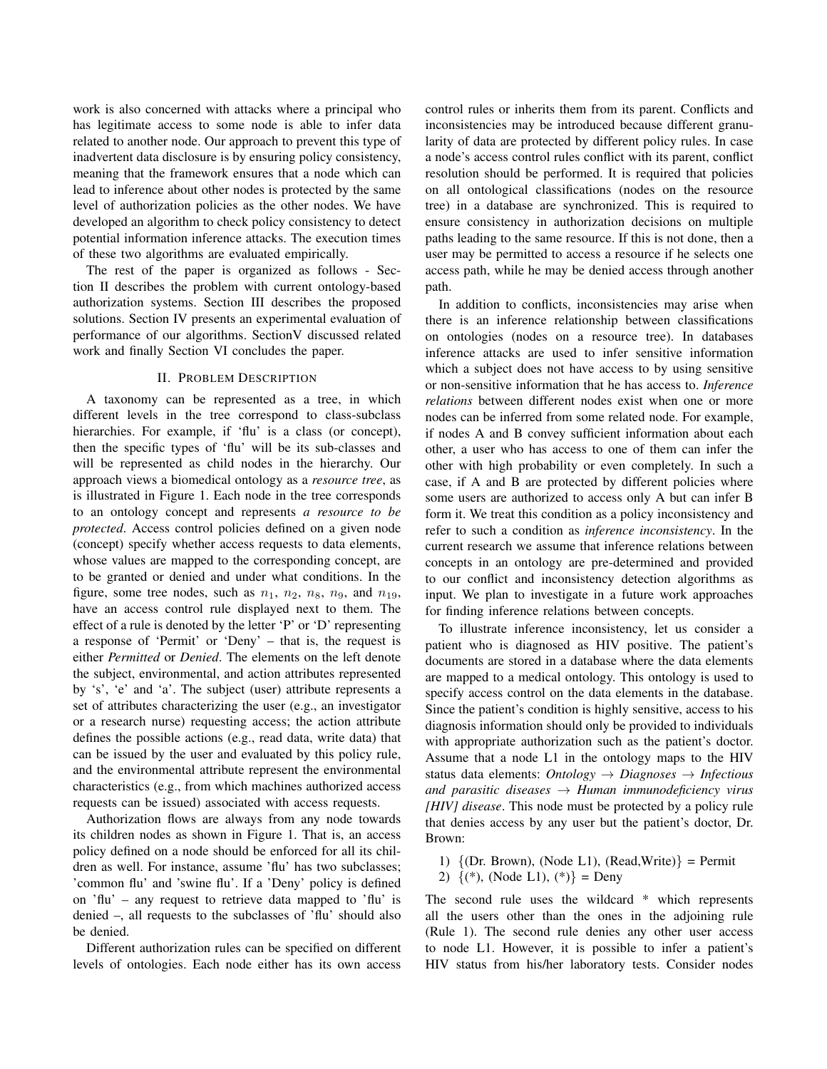work is also concerned with attacks where a principal who has legitimate access to some node is able to infer data related to another node. Our approach to prevent this type of inadvertent data disclosure is by ensuring policy consistency, meaning that the framework ensures that a node which can lead to inference about other nodes is protected by the same level of authorization policies as the other nodes. We have developed an algorithm to check policy consistency to detect potential information inference attacks. The execution times of these two algorithms are evaluated empirically.

The rest of the paper is organized as follows - Section II describes the problem with current ontology-based authorization systems. Section III describes the proposed solutions. Section IV presents an experimental evaluation of performance of our algorithms. SectionV discussed related work and finally Section VI concludes the paper.

## II. PROBLEM DESCRIPTION

A taxonomy can be represented as a tree, in which different levels in the tree correspond to class-subclass hierarchies. For example, if 'flu' is a class (or concept), then the specific types of 'flu' will be its sub-classes and will be represented as child nodes in the hierarchy. Our approach views a biomedical ontology as a *resource tree*, as is illustrated in Figure 1. Each node in the tree corresponds to an ontology concept and represents *a resource to be protected*. Access control policies defined on a given node (concept) specify whether access requests to data elements, whose values are mapped to the corresponding concept, are to be granted or denied and under what conditions. In the figure, some tree nodes, such as  $n_1$ ,  $n_2$ ,  $n_8$ ,  $n_9$ , and  $n_{19}$ , have an access control rule displayed next to them. The effect of a rule is denoted by the letter 'P' or 'D' representing a response of 'Permit' or 'Deny' – that is, the request is either *Permitted* or *Denied*. The elements on the left denote the subject, environmental, and action attributes represented by 's', 'e' and 'a'. The subject (user) attribute represents a set of attributes characterizing the user (e.g., an investigator or a research nurse) requesting access; the action attribute defines the possible actions (e.g., read data, write data) that can be issued by the user and evaluated by this policy rule, and the environmental attribute represent the environmental characteristics (e.g., from which machines authorized access requests can be issued) associated with access requests.

Authorization flows are always from any node towards its children nodes as shown in Figure 1. That is, an access policy defined on a node should be enforced for all its children as well. For instance, assume 'flu' has two subclasses; 'common flu' and 'swine flu'. If a 'Deny' policy is defined on 'flu' – any request to retrieve data mapped to 'flu' is denied –, all requests to the subclasses of 'flu' should also be denied.

Different authorization rules can be specified on different levels of ontologies. Each node either has its own access control rules or inherits them from its parent. Conflicts and inconsistencies may be introduced because different granularity of data are protected by different policy rules. In case a node's access control rules conflict with its parent, conflict resolution should be performed. It is required that policies on all ontological classifications (nodes on the resource tree) in a database are synchronized. This is required to ensure consistency in authorization decisions on multiple paths leading to the same resource. If this is not done, then a user may be permitted to access a resource if he selects one access path, while he may be denied access through another path.

In addition to conflicts, inconsistencies may arise when there is an inference relationship between classifications on ontologies (nodes on a resource tree). In databases inference attacks are used to infer sensitive information which a subject does not have access to by using sensitive or non-sensitive information that he has access to. *Inference relations* between different nodes exist when one or more nodes can be inferred from some related node. For example, if nodes A and B convey sufficient information about each other, a user who has access to one of them can infer the other with high probability or even completely. In such a case, if A and B are protected by different policies where some users are authorized to access only A but can infer B form it. We treat this condition as a policy inconsistency and refer to such a condition as *inference inconsistency*. In the current research we assume that inference relations between concepts in an ontology are pre-determined and provided to our conflict and inconsistency detection algorithms as input. We plan to investigate in a future work approaches for finding inference relations between concepts.

To illustrate inference inconsistency, let us consider a patient who is diagnosed as HIV positive. The patient's documents are stored in a database where the data elements are mapped to a medical ontology. This ontology is used to specify access control on the data elements in the database. Since the patient's condition is highly sensitive, access to his diagnosis information should only be provided to individuals with appropriate authorization such as the patient's doctor. Assume that a node L1 in the ontology maps to the HIV status data elements: *Ontology* → *Diagnoses* → *Infectious and parasitic diseases* → *Human immunodeficiency virus [HIV] disease*. This node must be protected by a policy rule that denies access by any user but the patient's doctor, Dr. Brown:

- 1)  $\{$  (Dr. Brown), (Node L1), (Read, Write) $\}$  = Permit
- 2)  $\{(*), \text{ (Node L1)}, (*)\} = \text{Deny}$

The second rule uses the wildcard \* which represents all the users other than the ones in the adjoining rule (Rule 1). The second rule denies any other user access to node L1. However, it is possible to infer a patient's HIV status from his/her laboratory tests. Consider nodes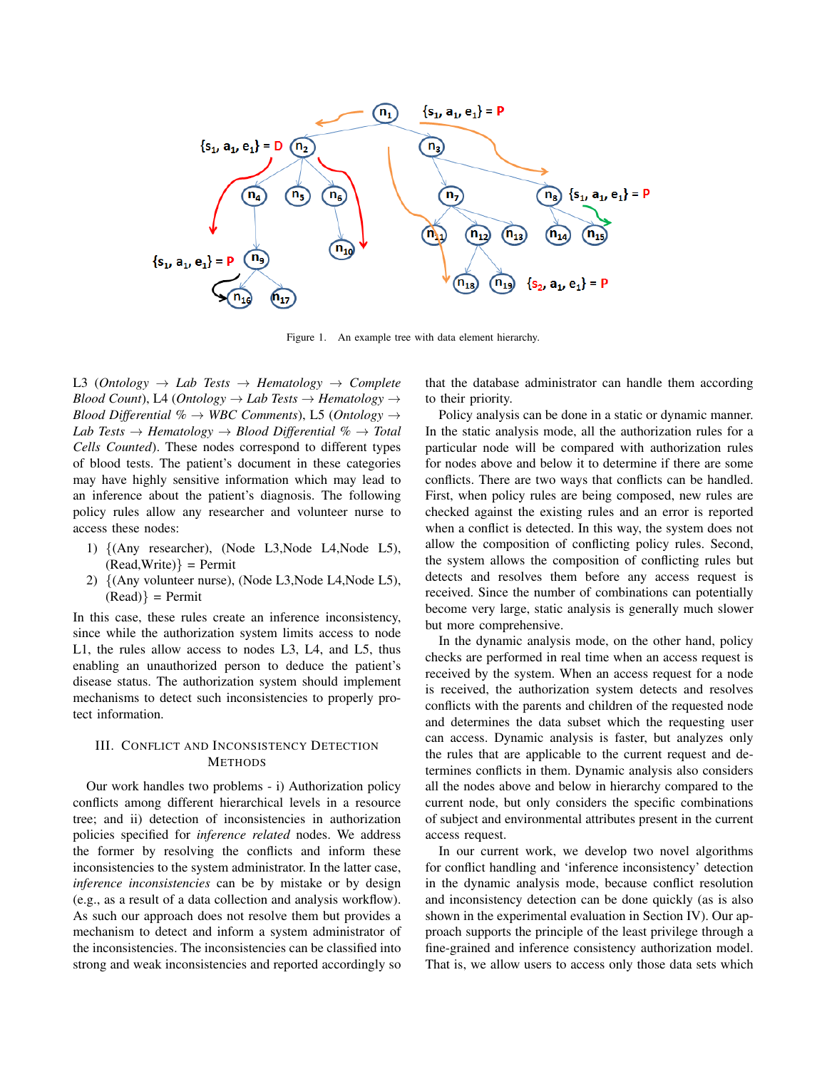

Figure 1. An example tree with data element hierarchy.

L3 (*Ontology*  $\rightarrow$  *Lab Tests*  $\rightarrow$  *Hematology*  $\rightarrow$  *Complete Blood Count*), L4 (*Ontology*  $\rightarrow$  *Lab Tests*  $\rightarrow$  *Hematology*  $\rightarrow$ *Blood Differential %* → *WBC Comments*), L5 (*Ontology* →  $Lab \; Tests \rightarrow Hematology \rightarrow Blood \; Differential \; \% \rightarrow Total$ *Cells Counted*). These nodes correspond to different types of blood tests. The patient's document in these categories may have highly sensitive information which may lead to an inference about the patient's diagnosis. The following policy rules allow any researcher and volunteer nurse to access these nodes:

- 1) {(Any researcher), (Node L3,Node L4,Node L5),  $(Read, Write)$ } = Permit
- 2) {(Any volunteer nurse), (Node L3,Node L4,Node L5),  $(Read)$ } = Permit

In this case, these rules create an inference inconsistency, since while the authorization system limits access to node L1, the rules allow access to nodes L3, L4, and L5, thus enabling an unauthorized person to deduce the patient's disease status. The authorization system should implement mechanisms to detect such inconsistencies to properly protect information.

# III. CONFLICT AND INCONSISTENCY DETECTION METHODS

Our work handles two problems - i) Authorization policy conflicts among different hierarchical levels in a resource tree; and ii) detection of inconsistencies in authorization policies specified for *inference related* nodes. We address the former by resolving the conflicts and inform these inconsistencies to the system administrator. In the latter case, *inference inconsistencies* can be by mistake or by design (e.g., as a result of a data collection and analysis workflow). As such our approach does not resolve them but provides a mechanism to detect and inform a system administrator of the inconsistencies. The inconsistencies can be classified into strong and weak inconsistencies and reported accordingly so that the database administrator can handle them according to their priority.

Policy analysis can be done in a static or dynamic manner. In the static analysis mode, all the authorization rules for a particular node will be compared with authorization rules for nodes above and below it to determine if there are some conflicts. There are two ways that conflicts can be handled. First, when policy rules are being composed, new rules are checked against the existing rules and an error is reported when a conflict is detected. In this way, the system does not allow the composition of conflicting policy rules. Second, the system allows the composition of conflicting rules but detects and resolves them before any access request is received. Since the number of combinations can potentially become very large, static analysis is generally much slower but more comprehensive.

In the dynamic analysis mode, on the other hand, policy checks are performed in real time when an access request is received by the system. When an access request for a node is received, the authorization system detects and resolves conflicts with the parents and children of the requested node and determines the data subset which the requesting user can access. Dynamic analysis is faster, but analyzes only the rules that are applicable to the current request and determines conflicts in them. Dynamic analysis also considers all the nodes above and below in hierarchy compared to the current node, but only considers the specific combinations of subject and environmental attributes present in the current access request.

In our current work, we develop two novel algorithms for conflict handling and 'inference inconsistency' detection in the dynamic analysis mode, because conflict resolution and inconsistency detection can be done quickly (as is also shown in the experimental evaluation in Section IV). Our approach supports the principle of the least privilege through a fine-grained and inference consistency authorization model. That is, we allow users to access only those data sets which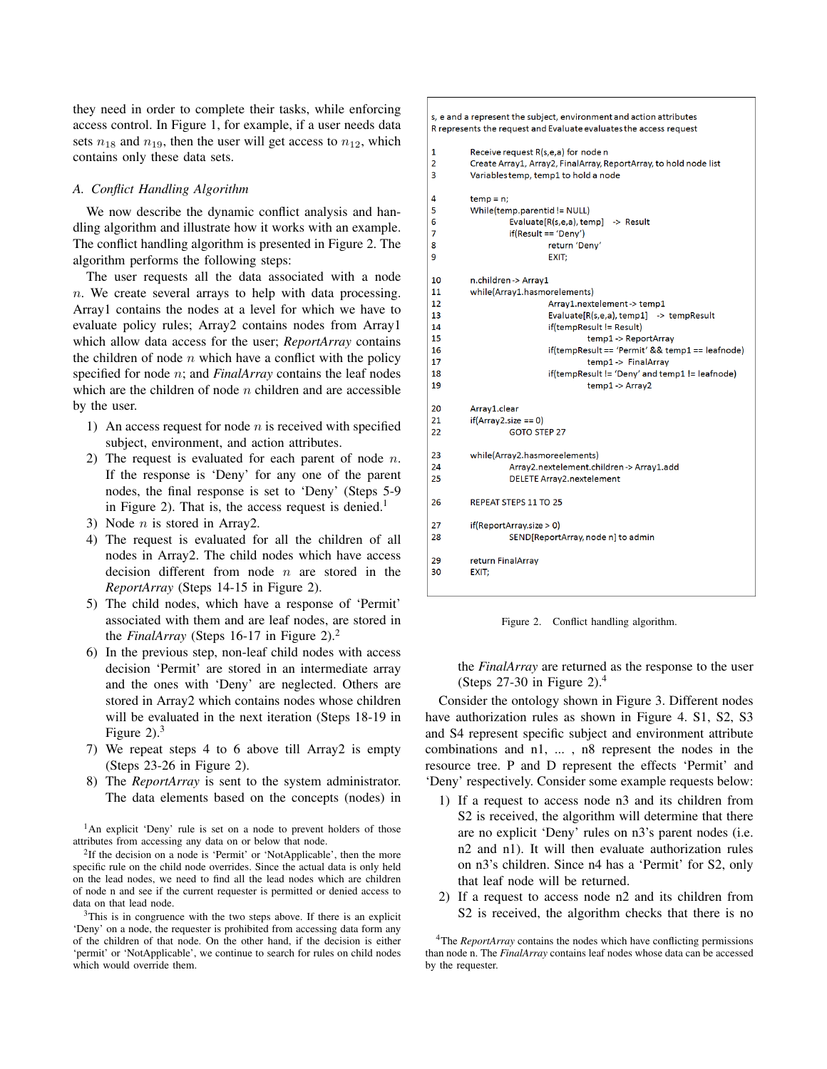they need in order to complete their tasks, while enforcing access control. In Figure 1, for example, if a user needs data sets  $n_{18}$  and  $n_{19}$ , then the user will get access to  $n_{12}$ , which contains only these data sets.

# *A. Conflict Handling Algorithm*

We now describe the dynamic conflict analysis and handling algorithm and illustrate how it works with an example. The conflict handling algorithm is presented in Figure 2. The algorithm performs the following steps:

The user requests all the data associated with a node n. We create several arrays to help with data processing. Array1 contains the nodes at a level for which we have to evaluate policy rules; Array2 contains nodes from Array1 which allow data access for the user; *ReportArray* contains the children of node  $n$  which have a conflict with the policy specified for node n; and *FinalArray* contains the leaf nodes which are the children of node  $n$  children and are accessible by the user.

- 1) An access request for node  $n$  is received with specified subject, environment, and action attributes.
- 2) The request is evaluated for each parent of node  $n$ . If the response is 'Deny' for any one of the parent nodes, the final response is set to 'Deny' (Steps 5-9 in Figure 2). That is, the access request is denied.<sup>1</sup>
- 3) Node  $n$  is stored in Array2.
- 4) The request is evaluated for all the children of all nodes in Array2. The child nodes which have access decision different from node  $n$  are stored in the *ReportArray* (Steps 14-15 in Figure 2).
- 5) The child nodes, which have a response of 'Permit' associated with them and are leaf nodes, are stored in the *FinalArray* (Steps 16-17 in Figure 2).<sup>2</sup>
- 6) In the previous step, non-leaf child nodes with access decision 'Permit' are stored in an intermediate array and the ones with 'Deny' are neglected. Others are stored in Array2 which contains nodes whose children will be evaluated in the next iteration (Steps 18-19 in Figure  $2$ ).<sup>3</sup>
- 7) We repeat steps 4 to 6 above till Array2 is empty (Steps 23-26 in Figure 2).
- 8) The *ReportArray* is sent to the system administrator. The data elements based on the concepts (nodes) in

<sup>1</sup>An explicit 'Deny' rule is set on a node to prevent holders of those attributes from accessing any data on or below that node.

<sup>2</sup>If the decision on a node is 'Permit' or 'NotApplicable', then the more specific rule on the child node overrides. Since the actual data is only held on the lead nodes, we need to find all the lead nodes which are children of node n and see if the current requester is permitted or denied access to data on that lead node.

<sup>3</sup>This is in congruence with the two steps above. If there is an explicit 'Deny' on a node, the requester is prohibited from accessing data form any of the children of that node. On the other hand, if the decision is either 'permit' or 'NotApplicable', we continue to search for rules on child nodes which would override them.

#### s, e and a represent the subject, environment and action attributes R represents the request and Evaluate evaluates the access request  $\overline{1}$ Receive request R(s,e,a) for node n  $\overline{2}$ Create Array1, Array2, FinalArray, ReportArray, to hold node list  $\overline{3}$ Variables temp, temp1 to hold a node  $\overline{4}$  $temp = n$ :  $\overline{\mathbf{5}}$ While(temp.parentid != NULL)  $\overline{6}$ Evaluate[R(s,e,a), temp] -> Result  $\overline{7}$  $if(Result == 'Denv')$  $\mathbf{g}$ return 'Deny' 9 EXIT:  $10<sup>10</sup>$ n children-> Array1 11 while(Array1.hasmorelements)  $12$ Array1.nextelement-> temp1 13 Evaluate[R(s,e,a), temp1] -> tempResult 14 if(tempResult != Result) 15 temp1 -> ReportArray 16 if(tempResult == 'Permit' && temp1 == leafnode)  $17$ temp1 -> FinalArray 18 if(tempResult != 'Deny' and temp1 != leafnode) 19 temp1 -> Array2  $20<sub>o</sub>$ Array1.clear 21  $if(Array2.size == 0)$  $22$ GOTO STEP 27  $23$ while(Array2.hasmoreelements) Array2.nextelement.children-> Array1.add  $24$ 25 **DELETE Array2.nextelement** 26 REPEAT STEPS 11 TO 25  $27$  $if (ReportArray.size > 0)$ 28 SEND[ReportArray, node n] to admin 29 return FinalArray  $30$ EXIT:

Figure 2. Conflict handling algorithm.

the *FinalArray* are returned as the response to the user (Steps  $27-30$  in Figure 2).<sup>4</sup>

Consider the ontology shown in Figure 3. Different nodes have authorization rules as shown in Figure 4. S1, S2, S3 and S4 represent specific subject and environment attribute combinations and n1, ... , n8 represent the nodes in the resource tree. P and D represent the effects 'Permit' and 'Deny' respectively. Consider some example requests below:

- 1) If a request to access node n3 and its children from S2 is received, the algorithm will determine that there are no explicit 'Deny' rules on n3's parent nodes (i.e. n2 and n1). It will then evaluate authorization rules on n3's children. Since n4 has a 'Permit' for S2, only that leaf node will be returned.
- 2) If a request to access node n2 and its children from S2 is received, the algorithm checks that there is no

<sup>4</sup>The *ReportArray* contains the nodes which have conflicting permissions than node n. The *FinalArray* contains leaf nodes whose data can be accessed by the requester.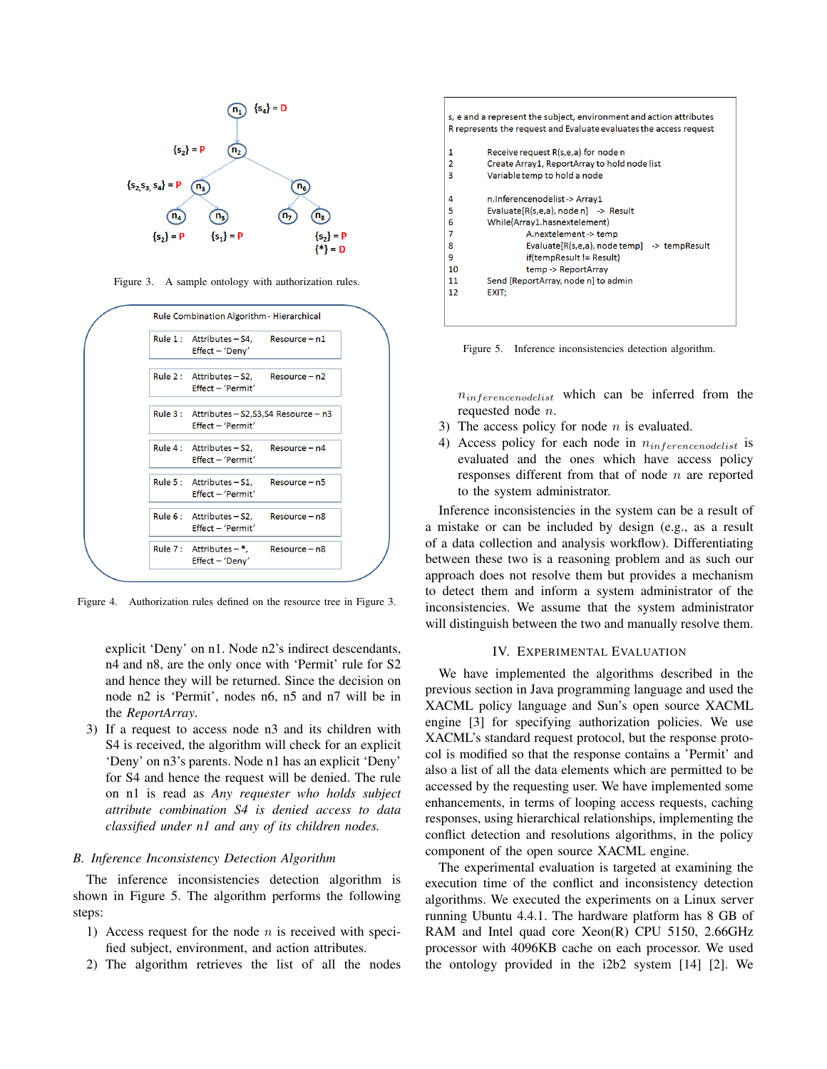

Figure 3. A sample ontology with authorization rules.



Figure 4. Authorization rules defined on the resource tree in Figure 3.

explicit 'Deny' on n1. Node n2's indirect descendants, n4 and n8, are the only once with 'Permit' rule for S2 and hence they will be returned. Since the decision on node n2 is 'Permit', nodes n6, n5 and n7 will be in the *ReportArray*.

3) If a request to access node n3 and its children with S4 is received, the algorithm will check for an explicit 'Deny' on n3's parents. Node n1 has an explicit 'Deny' for S4 and hence the request will be denied. The rule on n1 is read as *Any requester who holds subject attribute combination S4 is denied access to data classified under n1 and any of its children nodes.*

#### *B. Inference Inconsistency Detection Algorithm*

The inference inconsistencies detection algorithm is shown in Figure 5. The algorithm performs the following steps:

- 1) Access request for the node  $n$  is received with specified subject, environment, and action attributes.
- 2) The algorithm retrieves the list of all the nodes

| s, e and a represent the subject, environment and action attributes<br>R represents the request and Evaluate evaluates the access request |                                                                                                                               |
|-------------------------------------------------------------------------------------------------------------------------------------------|-------------------------------------------------------------------------------------------------------------------------------|
| 1<br>2                                                                                                                                    | Receive request R(s,e,a) for node n<br>Create Array1, ReportArray to hold node list                                           |
| 3                                                                                                                                         | Variable temp to hold a node                                                                                                  |
| 4<br>5<br>6<br>7                                                                                                                          | n.Inferencenodelist-> Array1<br>Evaluate[R(s,e,a), node n] -> Result<br>While(Array1.hasnextelement)<br>A.nextelement -> temp |
| 8<br>9<br>10                                                                                                                              | Evaluate[R(s,e,a), node temp] -> tempResult<br>if(tempResult != Result)<br>temp -> ReportArray                                |
| 11                                                                                                                                        | Send [ReportArray, node n] to admin                                                                                           |
| 12                                                                                                                                        | EXIT:                                                                                                                         |
|                                                                                                                                           |                                                                                                                               |

Figure 5. Inference inconsistencies detection algorithm.

 $n_{inference nodelist}$  which can be inferred from the requested node n.

- 3) The access policy for node  $n$  is evaluated.
- 4) Access policy for each node in  $n_{inference modelist}$  is evaluated and the ones which have access policy responses different from that of node  $n$  are reported to the system administrator.

Inference inconsistencies in the system can be a result of a mistake or can be included by design (e.g., as a result of a data collection and analysis workflow). Differentiating between these two is a reasoning problem and as such our approach does not resolve them but provides a mechanism to detect them and inform a system administrator of the inconsistencies. We assume that the system administrator will distinguish between the two and manually resolve them.

#### IV. EXPERIMENTAL EVALUATION

We have implemented the algorithms described in the previous section in Java programming language and used the XACML policy language and Sun's open source XACML engine [3] for specifying authorization policies. We use XACML's standard request protocol, but the response protocol is modified so that the response contains a 'Permit' and also a list of all the data elements which are permitted to be accessed by the requesting user. We have implemented some enhancements, in terms of looping access requests, caching responses, using hierarchical relationships, implementing the conflict detection and resolutions algorithms, in the policy component of the open source XACML engine.

The experimental evaluation is targeted at examining the execution time of the conflict and inconsistency detection algorithms. We executed the experiments on a Linux server running Ubuntu 4.4.1. The hardware platform has 8 GB of RAM and Intel quad core Xeon(R) CPU 5150, 2.66GHz processor with 4096KB cache on each processor. We used the ontology provided in the i2b2 system [14] [2]. We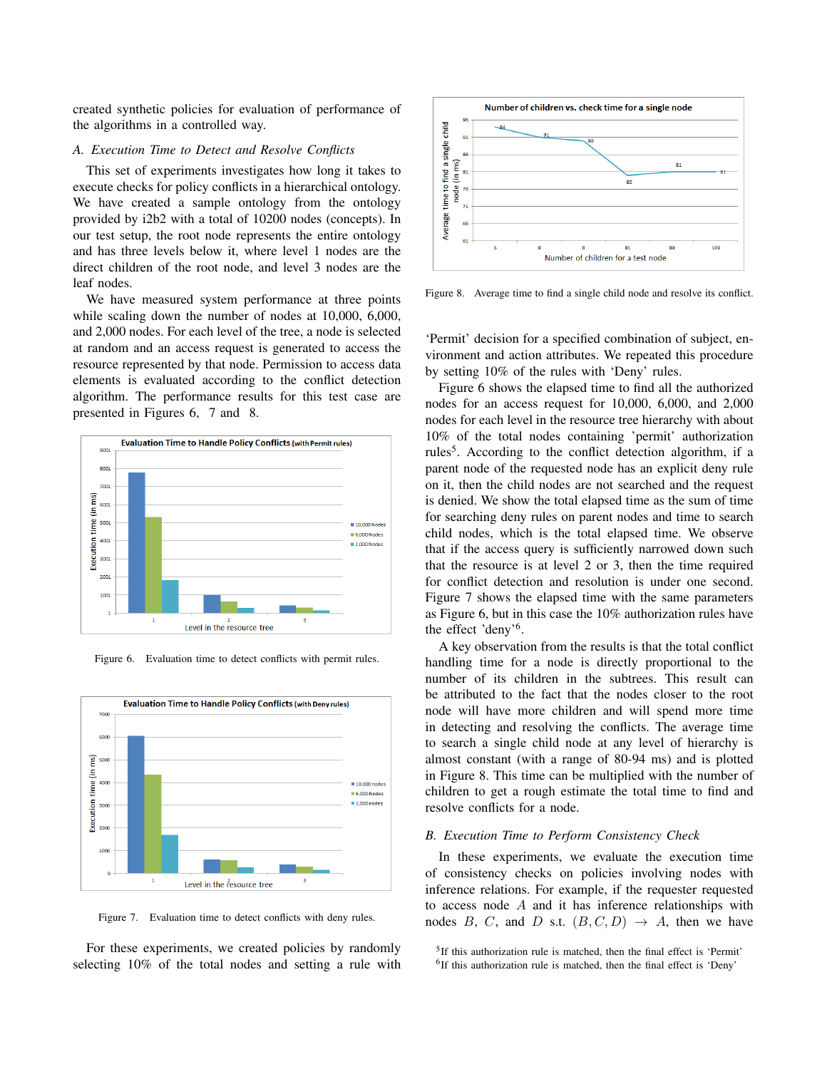created synthetic policies for evaluation of performance of the algorithms in a controlled way.

### *A. Execution Time to Detect and Resolve Conflicts*

This set of experiments investigates how long it takes to execute checks for policy conflicts in a hierarchical ontology. We have created a sample ontology from the ontology provided by i2b2 with a total of 10200 nodes (concepts). In our test setup, the root node represents the entire ontology and has three levels below it, where level 1 nodes are the direct children of the root node, and level 3 nodes are the leaf nodes.

We have measured system performance at three points while scaling down the number of nodes at 10,000, 6,000, and 2,000 nodes. For each level of the tree, a node is selected at random and an access request is generated to access the resource represented by that node. Permission to access data elements is evaluated according to the conflict detection algorithm. The performance results for this test case are presented in Figures 6, 7 and 8.





Figure 6. Evaluation time to detect conflicts with permit rules.

Figure 7. Evaluation time to detect conflicts with deny rules.

For these experiments, we created policies by randomly selecting 10% of the total nodes and setting a rule with



Figure 8. Average time to find a single child node and resolve its conflict.

'Permit' decision for a specified combination of subject, environment and action attributes. We repeated this procedure by setting 10% of the rules with 'Deny' rules.

Figure 6 shows the elapsed time to find all the authorized nodes for an access request for 10,000, 6,000, and 2,000 nodes for each level in the resource tree hierarchy with about 10% of the total nodes containing 'permit' authorization rules<sup>5</sup>. According to the conflict detection algorithm, if a parent node of the requested node has an explicit deny rule on it, then the child nodes are not searched and the request is denied. We show the total elapsed time as the sum of time for searching deny rules on parent nodes and time to search child nodes, which is the total elapsed time. We observe that if the access query is sufficiently narrowed down such that the resource is at level 2 or 3, then the time required for conflict detection and resolution is under one second. Figure 7 shows the elapsed time with the same parameters as Figure 6, but in this case the 10% authorization rules have the effect 'deny'<sup>6</sup> .

A key observation from the results is that the total conflict handling time for a node is directly proportional to the number of its children in the subtrees. This result can be attributed to the fact that the nodes closer to the root node will have more children and will spend more time in detecting and resolving the conflicts. The average time to search a single child node at any level of hierarchy is almost constant (with a range of 80-94 ms) and is plotted in Figure 8. This time can be multiplied with the number of children to get a rough estimate the total time to find and resolve conflicts for a node.

### *B. Execution Time to Perform Consistency Check*

In these experiments, we evaluate the execution time of consistency checks on policies involving nodes with inference relations. For example, if the requester requested to access node A and it has inference relationships with nodes B, C, and D s.t.  $(B, C, D) \rightarrow A$ , then we have

<sup>&</sup>lt;sup>5</sup>If this authorization rule is matched, then the final effect is 'Permit'

<sup>&</sup>lt;sup>6</sup>If this authorization rule is matched, then the final effect is 'Deny'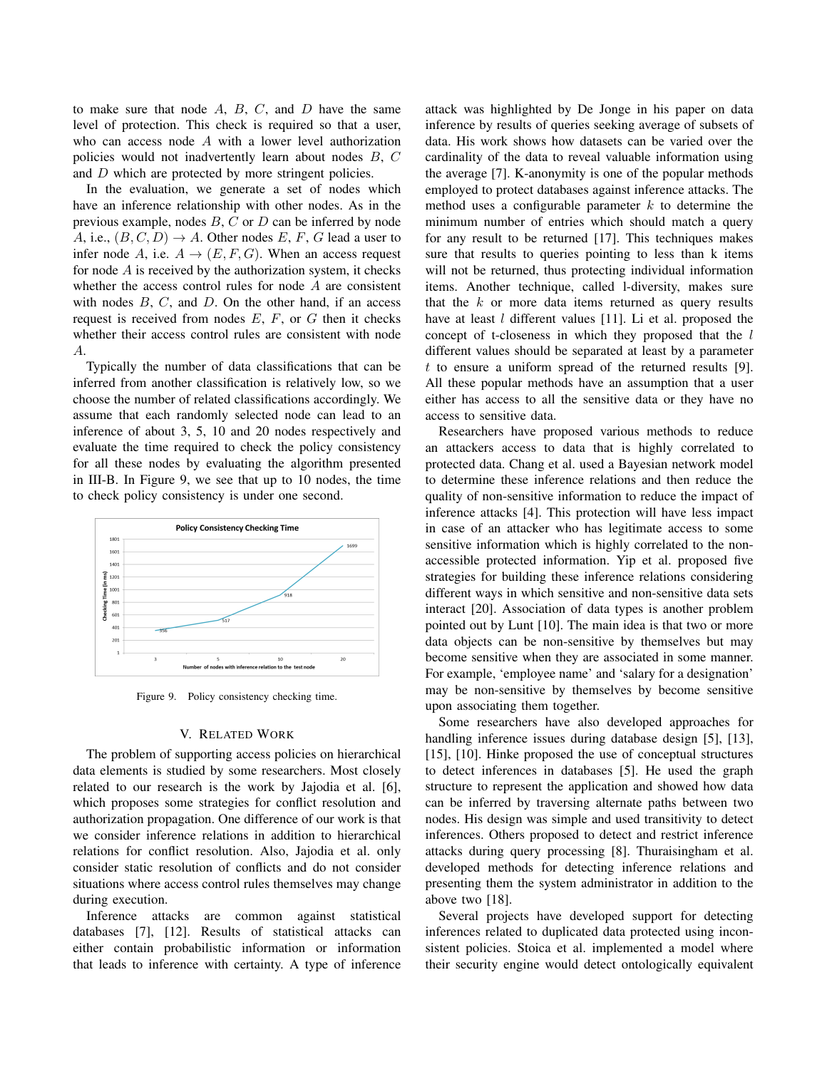to make sure that node  $A$ ,  $B$ ,  $C$ , and  $D$  have the same level of protection. This check is required so that a user, who can access node A with a lower level authorization policies would not inadvertently learn about nodes B, C and D which are protected by more stringent policies.

In the evaluation, we generate a set of nodes which have an inference relationship with other nodes. As in the previous example, nodes  $B$ ,  $C$  or  $D$  can be inferred by node A, i.e.,  $(B, C, D) \rightarrow A$ . Other nodes E, F, G lead a user to infer node A, i.e.  $A \rightarrow (E, F, G)$ . When an access request for node  $\vec{A}$  is received by the authorization system, it checks whether the access control rules for node A are consistent with nodes  $B, C$ , and  $D$ . On the other hand, if an access request is received from nodes  $E, F$ , or  $G$  then it checks whether their access control rules are consistent with node A.

Typically the number of data classifications that can be inferred from another classification is relatively low, so we choose the number of related classifications accordingly. We assume that each randomly selected node can lead to an inference of about 3, 5, 10 and 20 nodes respectively and evaluate the time required to check the policy consistency for all these nodes by evaluating the algorithm presented in III-B. In Figure 9, we see that up to 10 nodes, the time to check policy consistency is under one second.



Figure 9. Policy consistency checking time.

#### V. RELATED WORK

The problem of supporting access policies on hierarchical data elements is studied by some researchers. Most closely related to our research is the work by Jajodia et al. [6], which proposes some strategies for conflict resolution and authorization propagation. One difference of our work is that we consider inference relations in addition to hierarchical relations for conflict resolution. Also, Jajodia et al. only consider static resolution of conflicts and do not consider situations where access control rules themselves may change during execution.

Inference attacks are common against statistical databases [7], [12]. Results of statistical attacks can either contain probabilistic information or information that leads to inference with certainty. A type of inference attack was highlighted by De Jonge in his paper on data inference by results of queries seeking average of subsets of data. His work shows how datasets can be varied over the cardinality of the data to reveal valuable information using the average [7]. K-anonymity is one of the popular methods employed to protect databases against inference attacks. The method uses a configurable parameter  $k$  to determine the minimum number of entries which should match a query for any result to be returned [17]. This techniques makes sure that results to queries pointing to less than k items will not be returned, thus protecting individual information items. Another technique, called l-diversity, makes sure that the  $k$  or more data items returned as query results have at least *l* different values [11]. Li et al. proposed the concept of t-closeness in which they proposed that the  $l$ different values should be separated at least by a parameter t to ensure a uniform spread of the returned results [9]. All these popular methods have an assumption that a user either has access to all the sensitive data or they have no access to sensitive data.

Researchers have proposed various methods to reduce an attackers access to data that is highly correlated to protected data. Chang et al. used a Bayesian network model to determine these inference relations and then reduce the quality of non-sensitive information to reduce the impact of inference attacks [4]. This protection will have less impact in case of an attacker who has legitimate access to some sensitive information which is highly correlated to the nonaccessible protected information. Yip et al. proposed five strategies for building these inference relations considering different ways in which sensitive and non-sensitive data sets interact [20]. Association of data types is another problem pointed out by Lunt [10]. The main idea is that two or more data objects can be non-sensitive by themselves but may become sensitive when they are associated in some manner. For example, 'employee name' and 'salary for a designation' may be non-sensitive by themselves by become sensitive upon associating them together.

Some researchers have also developed approaches for handling inference issues during database design [5], [13], [15], [10]. Hinke proposed the use of conceptual structures to detect inferences in databases [5]. He used the graph structure to represent the application and showed how data can be inferred by traversing alternate paths between two nodes. His design was simple and used transitivity to detect inferences. Others proposed to detect and restrict inference attacks during query processing [8]. Thuraisingham et al. developed methods for detecting inference relations and presenting them the system administrator in addition to the above two [18].

Several projects have developed support for detecting inferences related to duplicated data protected using inconsistent policies. Stoica et al. implemented a model where their security engine would detect ontologically equivalent